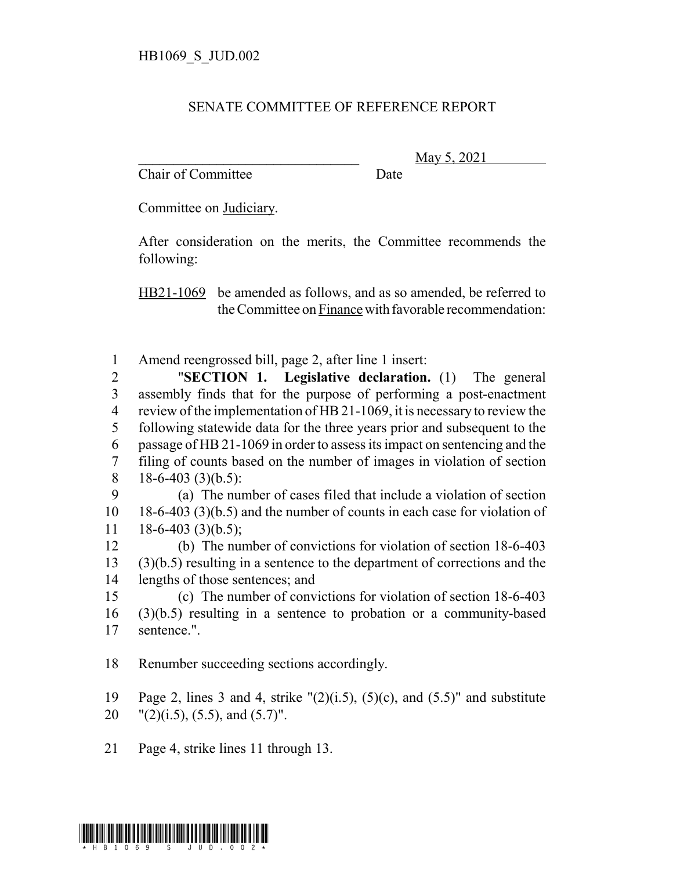## SENATE COMMITTEE OF REFERENCE REPORT

Chair of Committee Date

\_\_\_\_\_\_\_\_\_\_\_\_\_\_\_\_\_\_\_\_\_\_\_\_\_\_\_\_\_\_\_ May 5, 2021

Committee on Judiciary.

After consideration on the merits, the Committee recommends the following:

HB21-1069 be amended as follows, and as so amended, be referred to the Committee on Finance with favorable recommendation:

1 Amend reengrossed bill, page 2, after line 1 insert:

 "**SECTION 1. Legislative declaration.** (1) The general assembly finds that for the purpose of performing a post-enactment review of the implementation of HB 21-1069, it is necessary to review the following statewide data for the three years prior and subsequent to the passage of HB 21-1069 in order to assess its impact on sentencing and the filing of counts based on the number of images in violation of section 18-6-403 (3)(b.5):

9 (a) The number of cases filed that include a violation of section 10 18-6-403 (3)(b.5) and the number of counts in each case for violation of  $11 \quad 18-6-403 \tag{3}$  (b.5);

12 (b) The number of convictions for violation of section 18-6-403 13 (3)(b.5) resulting in a sentence to the department of corrections and the 14 lengths of those sentences; and

15 (c) The number of convictions for violation of section 18-6-403 16 (3)(b.5) resulting in a sentence to probation or a community-based 17 sentence.".

18 Renumber succeeding sections accordingly.

19 Page 2, lines 3 and 4, strike  $\Gamma(2)(i.5)$ ,  $(5)(c)$ , and  $(5.5)$ " and substitute

- 20  $\text{''}(2)(i.5)$ ,  $(5.5)$ , and  $(5.7)$ ".
- 21 Page 4, strike lines 11 through 13.